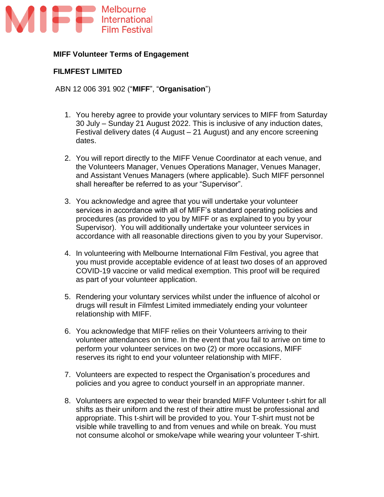

## **MIFF Volunteer Terms of Engagement**

#### **FILMFEST LIMITED**

ABN 12 006 391 902 ("**MIFF**", "**Organisation**")

- 1. You hereby agree to provide your voluntary services to MIFF from Saturday 30 July – Sunday 21 August 2022. This is inclusive of any induction dates, Festival delivery dates (4 August – 21 August) and any encore screening dates.
- 2. You will report directly to the MIFF Venue Coordinator at each venue, and the Volunteers Manager, Venues Operations Manager, Venues Manager, and Assistant Venues Managers (where applicable). Such MIFF personnel shall hereafter be referred to as your "Supervisor".
- 3. You acknowledge and agree that you will undertake your volunteer services in accordance with all of MIFF's standard operating policies and procedures (as provided to you by MIFF or as explained to you by your Supervisor). You will additionally undertake your volunteer services in accordance with all reasonable directions given to you by your Supervisor.
- 4. In volunteering with Melbourne International Film Festival, you agree that you must provide acceptable evidence of at least two doses of an approved COVID-19 vaccine or valid medical exemption. This proof will be required as part of your volunteer application.
- 5. Rendering your voluntary services whilst under the influence of alcohol or drugs will result in Filmfest Limited immediately ending your volunteer relationship with MIFF.
- 6. You acknowledge that MIFF relies on their Volunteers arriving to their volunteer attendances on time. In the event that you fail to arrive on time to perform your volunteer services on two (2) or more occasions, MIFF reserves its right to end your volunteer relationship with MIFF.
- 7. Volunteers are expected to respect the Organisation's procedures and policies and you agree to conduct yourself in an appropriate manner.
- 8. Volunteers are expected to wear their branded MIFF Volunteer t-shirt for all shifts as their uniform and the rest of their attire must be professional and appropriate. This t-shirt will be provided to you. Your T-shirt must not be visible while travelling to and from venues and while on break. You must not consume alcohol or smoke/vape while wearing your volunteer T-shirt.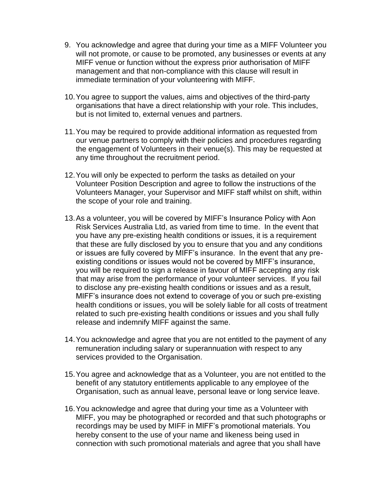- 9. You acknowledge and agree that during your time as a MIFF Volunteer you will not promote, or cause to be promoted, any businesses or events at any MIFF venue or function without the express prior authorisation of MIFF management and that non-compliance with this clause will result in immediate termination of your volunteering with MIFF.
- 10.You agree to support the values, aims and objectives of the third-party organisations that have a direct relationship with your role. This includes, but is not limited to, external venues and partners.
- 11.You may be required to provide additional information as requested from our venue partners to comply with their policies and procedures regarding the engagement of Volunteers in their venue(s). This may be requested at any time throughout the recruitment period.
- 12.You will only be expected to perform the tasks as detailed on your Volunteer Position Description and agree to follow the instructions of the Volunteers Manager, your Supervisor and MIFF staff whilst on shift, within the scope of your role and training.
- 13.As a volunteer, you will be covered by MIFF's Insurance Policy with Aon Risk Services Australia Ltd, as varied from time to time. In the event that you have any pre-existing health conditions or issues, it is a requirement that these are fully disclosed by you to ensure that you and any conditions or issues are fully covered by MIFF's insurance. In the event that any preexisting conditions or issues would not be covered by MIFF's insurance, you will be required to sign a release in favour of MIFF accepting any risk that may arise from the performance of your volunteer services. If you fail to disclose any pre-existing health conditions or issues and as a result, MIFF's insurance does not extend to coverage of you or such pre-existing health conditions or issues, you will be solely liable for all costs of treatment related to such pre-existing health conditions or issues and you shall fully release and indemnify MIFF against the same.
- 14.You acknowledge and agree that you are not entitled to the payment of any remuneration including salary or superannuation with respect to any services provided to the Organisation.
- 15.You agree and acknowledge that as a Volunteer, you are not entitled to the benefit of any statutory entitlements applicable to any employee of the Organisation, such as annual leave, personal leave or long service leave.
- 16.You acknowledge and agree that during your time as a Volunteer with MIFF, you may be photographed or recorded and that such photographs or recordings may be used by MIFF in MIFF's promotional materials. You hereby consent to the use of your name and likeness being used in connection with such promotional materials and agree that you shall have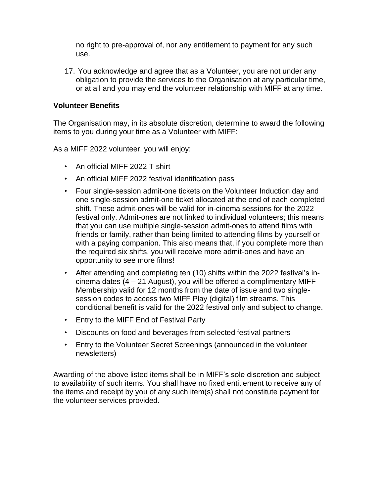no right to pre-approval of, nor any entitlement to payment for any such use.

17. You acknowledge and agree that as a Volunteer, you are not under any obligation to provide the services to the Organisation at any particular time, or at all and you may end the volunteer relationship with MIFF at any time.

### **Volunteer Benefits**

The Organisation may, in its absolute discretion, determine to award the following items to you during your time as a Volunteer with MIFF:

As a MIFF 2022 volunteer, you will enjoy:

- An official MIFF 2022 T-shirt
- An official MIFF 2022 festival identification pass
- Four single-session admit-one tickets on the Volunteer Induction day and one single-session admit-one ticket allocated at the end of each completed shift. These admit-ones will be valid for in-cinema sessions for the 2022 festival only. Admit-ones are not linked to individual volunteers; this means that you can use multiple single-session admit-ones to attend films with friends or family, rather than being limited to attending films by yourself or with a paying companion. This also means that, if you complete more than the required six shifts, you will receive more admit-ones and have an opportunity to see more films!
- After attending and completing ten (10) shifts within the 2022 festival's incinema dates (4 – 21 August), you will be offered a complimentary MIFF Membership valid for 12 months from the date of issue and two singlesession codes to access two MIFF Play (digital) film streams. This conditional benefit is valid for the 2022 festival only and subject to change.
- Entry to the MIFF End of Festival Party
- Discounts on food and beverages from selected festival partners
- Entry to the Volunteer Secret Screenings (announced in the volunteer newsletters)

Awarding of the above listed items shall be in MIFF's sole discretion and subject to availability of such items. You shall have no fixed entitlement to receive any of the items and receipt by you of any such item(s) shall not constitute payment for the volunteer services provided.